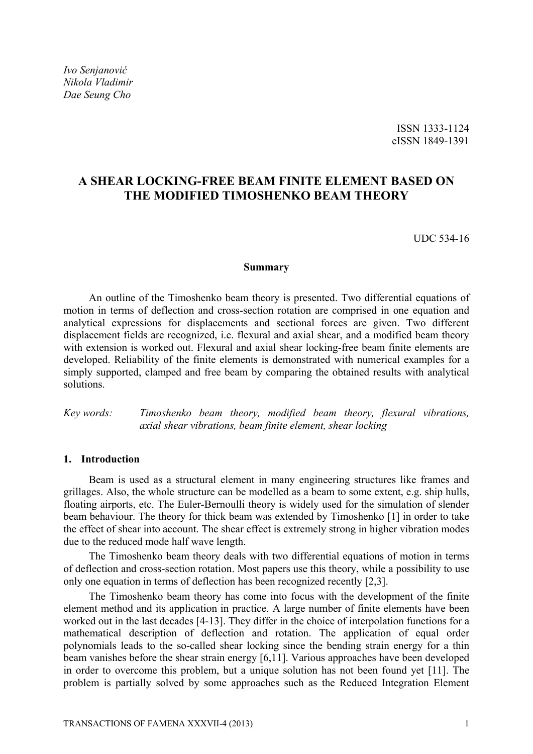*Ivo Senjanović Nikola Vladimir Dae Seung Cho* 

# **A SHEAR LOCKING-FREE BEAM FINITE ELEMENT BASED ON THE MODIFIED TIMOSHENKO BEAM THEORY**

UDC 534-16

#### **Summary**

An outline of the Timoshenko beam theory is presented. Two differential equations of motion in terms of deflection and cross-section rotation are comprised in one equation and analytical expressions for displacements and sectional forces are given. Two different displacement fields are recognized, i.e. flexural and axial shear, and a modified beam theory with extension is worked out. Flexural and axial shear locking-free beam finite elements are developed. Reliability of the finite elements is demonstrated with numerical examples for a simply supported, clamped and free beam by comparing the obtained results with analytical solutions.

*Key words: Timoshenko beam theory, modified beam theory, flexural vibrations, axial shear vibrations, beam finite element, shear locking* 

# **1. Introduction**

Beam is used as a structural element in many engineering structures like frames and grillages. Also, the whole structure can be modelled as a beam to some extent, e.g. ship hulls, floating airports, etc. The Euler-Bernoulli theory is widely used for the simulation of slender beam behaviour. The theory for thick beam was extended by Timoshenko [1] in order to take the effect of shear into account. The shear effect is extremely strong in higher vibration modes due to the reduced mode half wave length.

The Timoshenko beam theory deals with two differential equations of motion in terms of deflection and cross-section rotation. Most papers use this theory, while a possibility to use only one equation in terms of deflection has been recognized recently [2,3].

The Timoshenko beam theory has come into focus with the development of the finite element method and its application in practice. A large number of finite elements have been worked out in the last decades [4-13]. They differ in the choice of interpolation functions for a mathematical description of deflection and rotation. The application of equal order polynomials leads to the so-called shear locking since the bending strain energy for a thin beam vanishes before the shear strain energy [6,11]. Various approaches have been developed in order to overcome this problem, but a unique solution has not been found yet [11]. The problem is partially solved by some approaches such as the Reduced Integration Element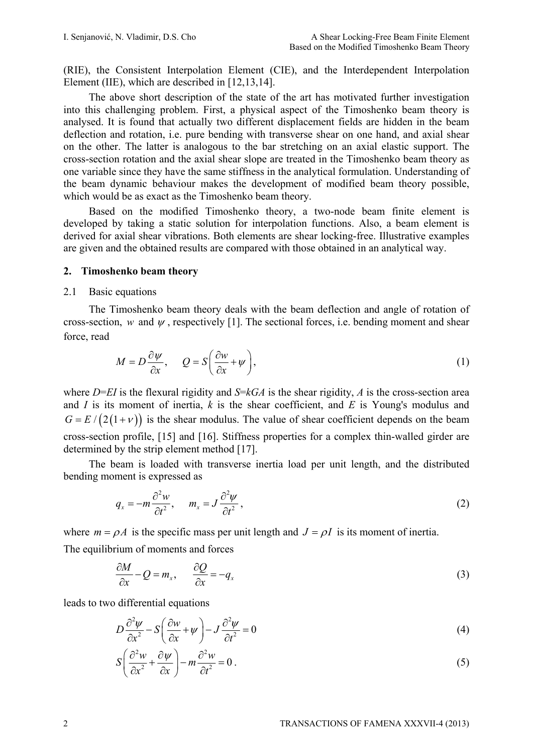(RIE), the Consistent Interpolation Element (CIE), and the Interdependent Interpolation Element (IIE), which are described in [12,13,14].

The above short description of the state of the art has motivated further investigation into this challenging problem. First, a physical aspect of the Timoshenko beam theory is analysed. It is found that actually two different displacement fields are hidden in the beam deflection and rotation, i.e. pure bending with transverse shear on one hand, and axial shear on the other. The latter is analogous to the bar stretching on an axial elastic support. The cross-section rotation and the axial shear slope are treated in the Timoshenko beam theory as one variable since they have the same stiffness in the analytical formulation. Understanding of the beam dynamic behaviour makes the development of modified beam theory possible, which would be as exact as the Timoshenko beam theory.

Based on the modified Timoshenko theory, a two-node beam finite element is developed by taking a static solution for interpolation functions. Also, a beam element is derived for axial shear vibrations. Both elements are shear locking-free. Illustrative examples are given and the obtained results are compared with those obtained in an analytical way.

### **2. Timoshenko beam theory**

#### 2.1 Basic equations

The Timoshenko beam theory deals with the beam deflection and angle of rotation of cross-section, *w* and  $\psi$ , respectively [1]. The sectional forces, i.e. bending moment and shear force, read

$$
M = D\frac{\partial \psi}{\partial x}, \qquad Q = S\left(\frac{\partial w}{\partial x} + \psi\right),\tag{1}
$$

where *D*=*EI* is the flexural rigidity and *S*=*kGA* is the shear rigidity, *A* is the cross-section area and *I* is its moment of inertia, *k* is the shear coefficient, and *E* is Young's modulus and  $G = E / (2(1 + v))$  is the shear modulus. The value of shear coefficient depends on the beam cross-section profile, [15] and [16]. Stiffness properties for a complex thin-walled girder are determined by the strip element method [17].

The beam is loaded with transverse inertia load per unit length, and the distributed bending moment is expressed as

$$
q_x = -m \frac{\partial^2 w}{\partial t^2}, \qquad m_x = J \frac{\partial^2 \psi}{\partial t^2}, \tag{2}
$$

where  $m = \rho A$  is the specific mass per unit length and  $J = \rho I$  is its moment of inertia. The equilibrium of moments and forces

$$
\frac{\partial M}{\partial x} - Q = m_x, \qquad \frac{\partial Q}{\partial x} = -q_x \tag{3}
$$

leads to two differential equations

$$
D\frac{\partial^2 \psi}{\partial x^2} - S\left(\frac{\partial w}{\partial x} + \psi\right) - J\frac{\partial^2 \psi}{\partial t^2} = 0\tag{4}
$$

$$
S\left(\frac{\partial^2 w}{\partial x^2} + \frac{\partial \psi}{\partial x}\right) - m \frac{\partial^2 w}{\partial t^2} = 0.
$$
\n(5)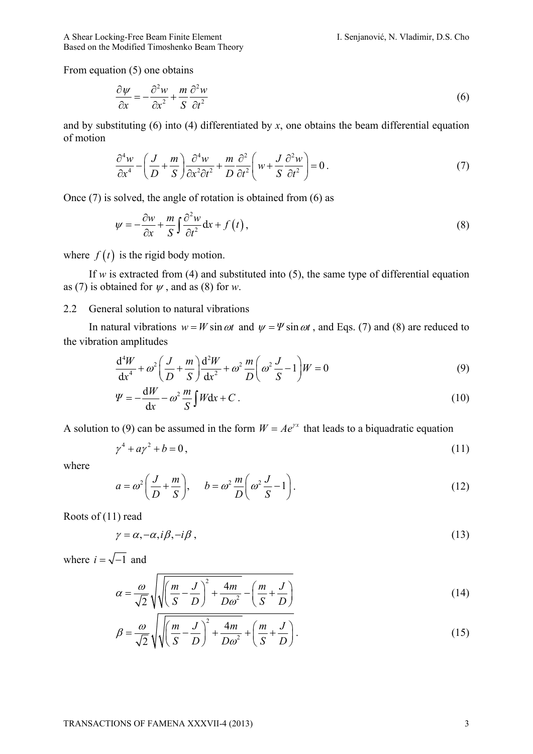From equation (5) one obtains

$$
\frac{\partial \psi}{\partial x} = -\frac{\partial^2 w}{\partial x^2} + \frac{m}{S} \frac{\partial^2 w}{\partial t^2}
$$
(6)

and by substituting (6) into (4) differentiated by *x*, one obtains the beam differential equation of motion

$$
\frac{\partial^4 w}{\partial x^4} - \left(\frac{J}{D} + \frac{m}{S}\right) \frac{\partial^4 w}{\partial x^2 \partial t^2} + \frac{m}{D} \frac{\partial^2}{\partial t^2} \left(w + \frac{J}{S} \frac{\partial^2 w}{\partial t^2}\right) = 0.
$$
\n(7)

Once (7) is solved, the angle of rotation is obtained from (6) as

$$
\psi = -\frac{\partial w}{\partial x} + \frac{m}{S} \int \frac{\partial^2 w}{\partial t^2} dx + f(t), \qquad (8)
$$

where  $f(t)$  is the rigid body motion.

If  $w$  is extracted from (4) and substituted into (5), the same type of differential equation as (7) is obtained for  $\psi$ , and as (8) for  $w$ .

# 2.2 General solution to natural vibrations

In natural vibrations  $w = W \sin \omega t$  and  $\psi = \Psi \sin \omega t$ , and Eqs. (7) and (8) are reduced to the vibration amplitudes

$$
\frac{\mathrm{d}^4 W}{\mathrm{d}x^4} + \omega^2 \left(\frac{J}{D} + \frac{m}{S}\right) \frac{\mathrm{d}^2 W}{\mathrm{d}x^2} + \omega^2 \frac{m}{D} \left(\omega^2 \frac{J}{S} - 1\right) W = 0\tag{9}
$$

$$
\Psi = -\frac{\mathrm{d}W}{\mathrm{d}x} - \omega^2 \frac{m}{S} \int W \mathrm{d}x + C \,. \tag{10}
$$

A solution to (9) can be assumed in the form  $W = Ae^{rx}$  that leads to a biquadratic equation

$$
\gamma^4 + a\gamma^2 + b = 0,\tag{11}
$$

where

$$
a = \omega^2 \left( \frac{J}{D} + \frac{m}{S} \right), \qquad b = \omega^2 \frac{m}{D} \left( \omega^2 \frac{J}{S} - 1 \right). \tag{12}
$$

Roots of (11) read

$$
\gamma = \alpha, -\alpha, i\beta, -i\beta \tag{13}
$$

where  $i = \sqrt{-1}$  and

$$
\alpha = \frac{\omega}{\sqrt{2}} \sqrt{\sqrt{\left(\frac{m}{S} - \frac{J}{D}\right)^2 + \frac{4m}{D\omega^2}} - \left(\frac{m}{S} + \frac{J}{D}\right)}
$$
(14)

$$
\beta = \frac{\omega}{\sqrt{2}} \sqrt{\left(\frac{m}{S} - \frac{J}{D}\right)^2 + \frac{4m}{D\omega^2} + \left(\frac{m}{S} + \frac{J}{D}\right)}.
$$
\n(15)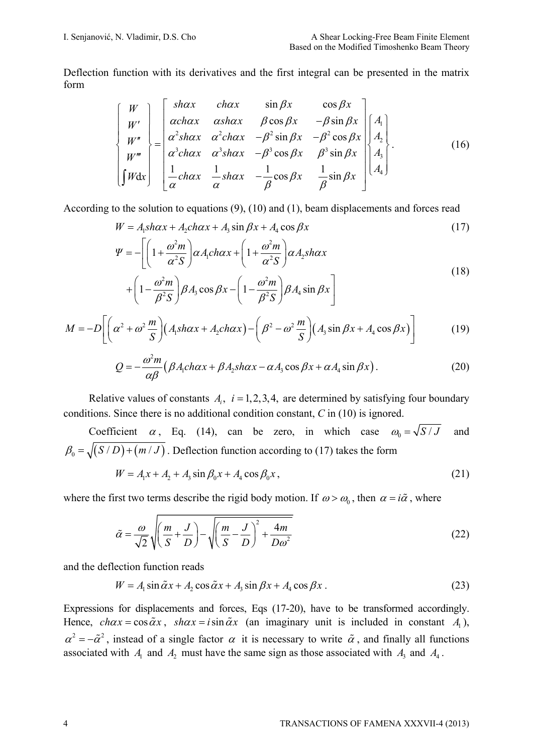Deflection function with its derivatives and the first integral can be presented in the matrix form

$$
\begin{bmatrix}\nW \\
W' \\
W'' \\
W''' \\
W''' \\
\end{bmatrix} = \begin{bmatrix}\n\text{shax} & \text{chax} & \text{sin } \beta x & \text{cos } \beta x \\
\alpha \text{chax} & \alpha \text{shax} & \beta \text{cos } \beta x & -\beta \text{sin } \beta x \\
\alpha^2 \text{shax} & \alpha^2 \text{chax} & -\beta^2 \text{sin } \beta x & -\beta^2 \text{cos } \beta x \\
\alpha^3 \text{chax} & \alpha^3 \text{shax} & -\beta^3 \text{cos } \beta x & \beta^3 \text{sin } \beta x \\
\frac{1}{\alpha} \text{chax} & \frac{1}{\alpha} \text{shax} & -\frac{1}{\beta} \text{cos } \beta x & \frac{1}{\beta} \text{sin } \beta x\n\end{bmatrix}\n\begin{bmatrix}\nA_1 \\
A_2 \\
A_3 \\
A_4\n\end{bmatrix}.
$$
\n(16)

According to the solution to equations (9), (10) and (1), beam displacements and forces read

$$
W = A_1 sh\alpha x + A_2 ch\alpha x + A_3 \sin \beta x + A_4 \cos \beta x \tag{17}
$$

$$
\Psi = -\left[ \left( 1 + \frac{\omega^2 m}{\alpha^2 S} \right) \alpha A_1 ch \alpha x + \left( 1 + \frac{\omega^2 m}{\alpha^2 S} \right) \alpha A_2 sh \alpha x + \left( 1 - \frac{\omega^2 m}{\beta^2 S} \right) \beta A_3 \cos \beta x - \left( 1 - \frac{\omega^2 m}{\beta^2 S} \right) \beta A_4 \sin \beta x \right]
$$
\n(18)

$$
M = -D\left[\left(\alpha^2 + \omega^2 \frac{m}{S}\right)\left(A_1sh\alpha x + A_2ch\alpha x\right) - \left(\beta^2 - \omega^2 \frac{m}{S}\right)\left(A_3\sin\beta x + A_4\cos\beta x\right)\right]
$$
(19)

$$
Q = -\frac{\omega^2 m}{\alpha \beta} \left( \beta A_1 ch \alpha x + \beta A_2 sh \alpha x - \alpha A_3 \cos \beta x + \alpha A_4 \sin \beta x \right). \tag{20}
$$

Relative values of constants  $A_i$ ,  $i = 1, 2, 3, 4$ , are determined by satisfying four boundary conditions. Since there is no additional condition constant, *C* in (10) is ignored.

Coefficient 
$$
\alpha
$$
, Eq. (14), can be zero, in which case  $\omega_0 = \sqrt{S/J}$  and  $\beta_0 = \sqrt{(S/D)+(m/J)}$ . Deflection function according to (17) takes the form

$$
W = A_1 x + A_2 + A_3 \sin \beta_0 x + A_4 \cos \beta_0 x, \tag{21}
$$

where the first two terms describe the rigid body motion. If  $\omega > \omega_0$ , then  $\alpha = i\tilde{\alpha}$ , where

$$
\tilde{\alpha} = \frac{\omega}{\sqrt{2}} \sqrt{\left(\frac{m}{S} + \frac{J}{D}\right)} - \sqrt{\left(\frac{m}{S} - \frac{J}{D}\right)^2 + \frac{4m}{D\omega^2}}
$$
(22)

and the deflection function reads

$$
W = A_1 \sin \tilde{\alpha} x + A_2 \cos \tilde{\alpha} x + A_3 \sin \beta x + A_4 \cos \beta x \,. \tag{23}
$$

Expressions for displacements and forces, Eqs (17-20), have to be transformed accordingly. Hence,  $ch \alpha x = \cos \alpha x$ ,  $sh \alpha x = i \sin \alpha x$  (an imaginary unit is included in constant *A*<sub>1</sub>),  $\alpha^2 = -\tilde{\alpha}^2$ , instead of a single factor  $\alpha$  it is necessary to write  $\tilde{\alpha}$ , and finally all functions associated with  $A_1$  and  $A_2$  must have the same sign as those associated with  $A_3$  and  $A_4$ .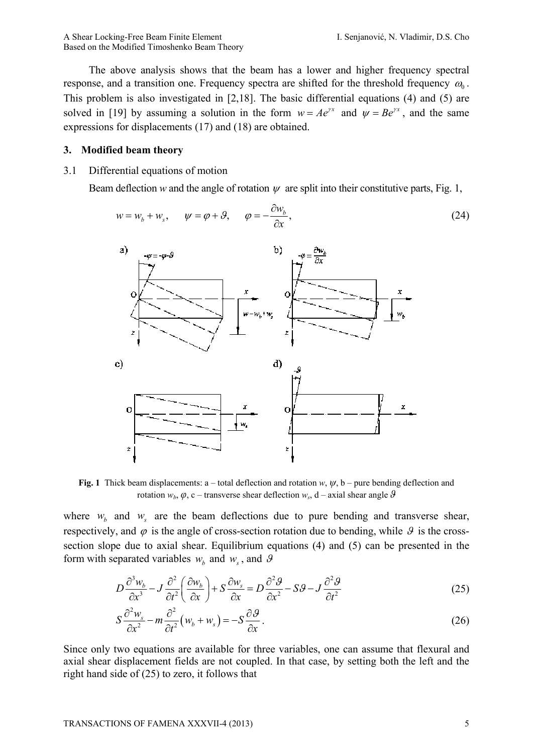The above analysis shows that the beam has a lower and higher frequency spectral response, and a transition one. Frequency spectra are shifted for the threshold frequency  $\omega_0$ . This problem is also investigated in [2,18]. The basic differential equations (4) and (5) are solved in [19] by assuming a solution in the form  $w = Ae^{rx}$  and  $\psi = Be^{rx}$ , and the same expressions for displacements (17) and (18) are obtained.

### **3. Modified beam theory**

3.1 Differential equations of motion

Beam deflection *w* and the angle of rotation  $\psi$  are split into their constitutive parts, Fig. 1,

$$
w = w_b + w_s, \qquad \psi = \varphi + \vartheta, \qquad \varphi = -\frac{\partial w_b}{\partial x}, \tag{24}
$$



**Fig. 1** Thick beam displacements: a – total deflection and rotation *w*, *ψ*, b – pure bending deflection and rotation  $w_b$ ,  $\varphi$ , c – transverse shear deflection  $w_s$ , d – axial shear angle  $\vartheta$ 

where  $w_b$  and  $w_s$  are the beam deflections due to pure bending and transverse shear, respectively, and  $\varphi$  is the angle of cross-section rotation due to bending, while  $\vartheta$  is the crosssection slope due to axial shear. Equilibrium equations (4) and (5) can be presented in the form with separated variables  $w_b$  and  $w_s$ , and  $\theta$ 

$$
D\frac{\partial^3 w_b}{\partial x^3} - J\frac{\partial^2}{\partial t^2} \left(\frac{\partial w_b}{\partial x}\right) + S\frac{\partial w_s}{\partial x} = D\frac{\partial^2 \mathcal{G}}{\partial x^2} - S\mathcal{G} - J\frac{\partial^2 \mathcal{G}}{\partial t^2}
$$
(25)

$$
S\frac{\partial^2 w_s}{\partial x^2} - m\frac{\partial^2}{\partial t^2} (w_b + w_s) = -S\frac{\partial \mathcal{G}}{\partial x}.
$$
 (26)

Since only two equations are available for three variables, one can assume that flexural and axial shear displacement fields are not coupled. In that case, by setting both the left and the right hand side of (25) to zero, it follows that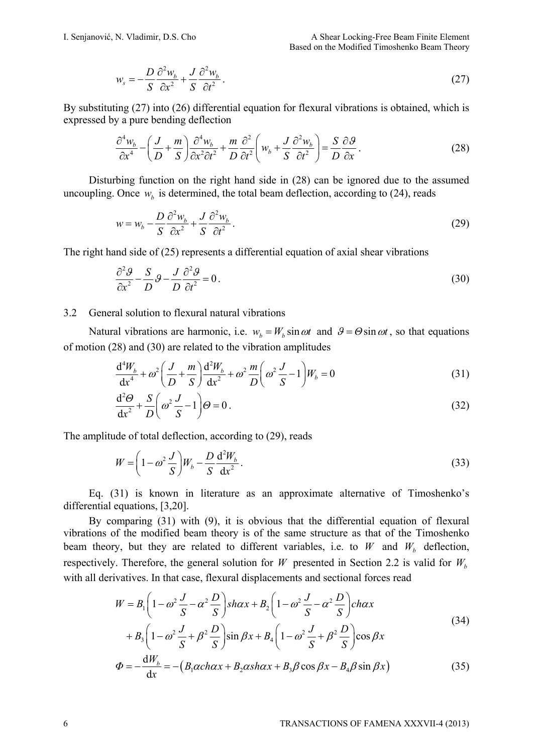$$
w_s = -\frac{D}{S} \frac{\partial^2 w_b}{\partial x^2} + \frac{J}{S} \frac{\partial^2 w_b}{\partial t^2}.
$$
 (27)

By substituting (27) into (26) differential equation for flexural vibrations is obtained, which is expressed by a pure bending deflection

$$
\frac{\partial^4 w_b}{\partial x^4} - \left(\frac{J}{D} + \frac{m}{S}\right) \frac{\partial^4 w_b}{\partial x^2 \partial t^2} + \frac{m}{D} \frac{\partial^2}{\partial t^2} \left(w_b + \frac{J}{S} \frac{\partial^2 w_b}{\partial t^2}\right) = \frac{S}{D} \frac{\partial \mathcal{G}}{\partial x}.
$$
\n(28)

Disturbing function on the right hand side in (28) can be ignored due to the assumed uncoupling. Once  $w<sub>b</sub>$  is determined, the total beam deflection, according to (24), reads

$$
w = w_b - \frac{D}{S} \frac{\partial^2 w_b}{\partial x^2} + \frac{J}{S} \frac{\partial^2 w_b}{\partial t^2}.
$$
 (29)

The right hand side of (25) represents a differential equation of axial shear vibrations

$$
\frac{\partial^2 \mathcal{G}}{\partial x^2} - \frac{S}{D} \mathcal{G} - \frac{J}{D} \frac{\partial^2 \mathcal{G}}{\partial t^2} = 0.
$$
\n(30)

### 3.2 General solution to flexural natural vibrations

Natural vibrations are harmonic, i.e.  $w<sub>b</sub> = W<sub>b</sub> \sin \omega t$  and  $\theta = \Theta \sin \omega t$ , so that equations of motion (28) and (30) are related to the vibration amplitudes

$$
\frac{d^4 W_b}{dx^4} + \omega^2 \left( \frac{J}{D} + \frac{m}{S} \right) \frac{d^2 W_b}{dx^2} + \omega^2 \frac{m}{D} \left( \omega^2 \frac{J}{S} - 1 \right) W_b = 0 \tag{31}
$$

$$
\frac{d^2\Theta}{dx^2} + \frac{S}{D} \left( \omega^2 \frac{J}{S} - 1 \right) \Theta = 0.
$$
\n(32)

The amplitude of total deflection, according to (29), reads

$$
W = \left(1 - \omega^2 \frac{J}{S}\right) W_b - \frac{D}{S} \frac{\mathrm{d}^2 W_b}{\mathrm{d} x^2} \,. \tag{33}
$$

Eq. (31) is known in literature as an approximate alternative of Timoshenko's differential equations, [3,20].

By comparing (31) with (9), it is obvious that the differential equation of flexural vibrations of the modified beam theory is of the same structure as that of the Timoshenko beam theory, but they are related to different variables, i.e. to *W* and  $W<sub>b</sub>$  deflection, respectively. Therefore, the general solution for *W* presented in Section 2.2 is valid for  $W_b$ with all derivatives. In that case, flexural displacements and sectional forces read

$$
W = B_1 \left( 1 - \omega^2 \frac{J}{S} - \alpha^2 \frac{D}{S} \right) sh\alpha x + B_2 \left( 1 - \omega^2 \frac{J}{S} - \alpha^2 \frac{D}{S} \right) ch\alpha x
$$
  
+ 
$$
B_3 \left( 1 - \omega^2 \frac{J}{S} + \beta^2 \frac{D}{S} \right) sin \beta x + B_4 \left( 1 - \omega^2 \frac{J}{S} + \beta^2 \frac{D}{S} \right) cos \beta x
$$
  

$$
\Phi = -\frac{dW_b}{dx} = -\left( B_1 \alpha ch\alpha x + B_2 \alpha sh\alpha x + B_3 \beta \cos \beta x - B_4 \beta \sin \beta x \right)
$$
(35)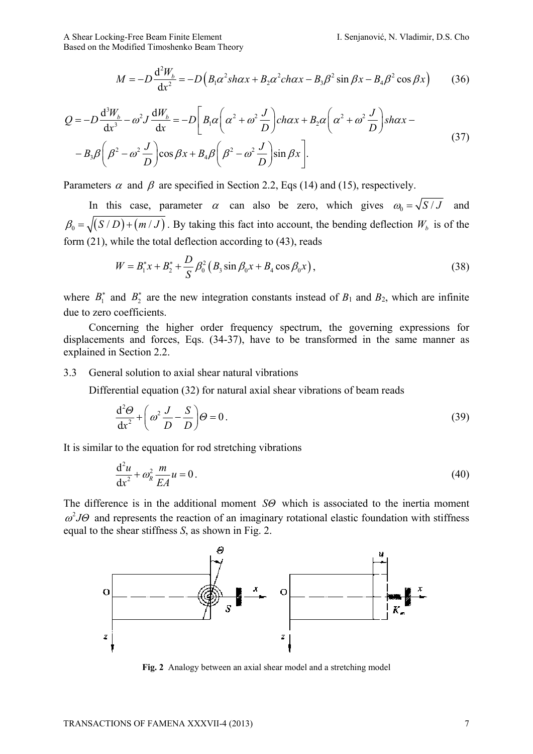A Shear Locking-Free Beam Finite Element I. Senjanović, N. Vladimir, D.S. Cho Based on the Modified Timoshenko Beam Theory

 $(B_1\alpha^2sh\alpha x + B_2\alpha^2ch\alpha x - B_3\beta^2\sin\beta x - B_4\beta^2\cos\beta x)$  $^{2}W_{b} = D(P_{c}c^{2}abcw + R_{c}c^{2}abcw - R_{c}c^{2}sin \theta w - R_{c}c^{2})$  $\frac{d^2W_b}{dx^2} = -D\left(B_1\alpha^2sh\alpha x + B_2\alpha^2ch\alpha x - B_3\beta^2\sin\beta x - B_4\beta^2\cos\alpha x\right)$ d  $M = -D \frac{d^2 W_b}{dx^2} = -D \left( B_1 \alpha^2 sh \alpha x + B_2 \alpha^2 ch \alpha x - B_3 \beta^2 sin \beta x - B_4 \beta^2 cos \beta x \right)$  (36)

$$
Q = -D\frac{d^3W_b}{dx^3} - \omega^2 J \frac{dW_b}{dx} = -D \left[ B_1 \alpha \left( \alpha^2 + \omega^2 \frac{J}{D} \right) ch\alpha x + B_2 \alpha \left( \alpha^2 + \omega^2 \frac{J}{D} \right) sh\alpha x - B_3 \beta \left( \beta^2 - \omega^2 \frac{J}{D} \right) \cos \beta x + B_4 \beta \left( \beta^2 - \omega^2 \frac{J}{D} \right) \sin \beta x \right].
$$
\n(37)

Parameters  $\alpha$  and  $\beta$  are specified in Section 2.2, Eqs (14) and (15), respectively.

In this case, parameter  $\alpha$  can also be zero, which gives  $\omega_0 = \sqrt{S/J}$  and  $\beta_0 = \sqrt{(S/D)+(m/J)}$ . By taking this fact into account, the bending deflection  $W_b$  is of the form (21), while the total deflection according to (43), reads

$$
W = B_1^* x + B_2^* + \frac{D}{S} \beta_0^2 (B_3 \sin \beta_0 x + B_4 \cos \beta_0 x), \qquad (38)
$$

where  $B_1^*$  and  $B_2^*$  are the new integration constants instead of  $B_1$  and  $B_2$ , which are infinite due to zero coefficients.

Concerning the higher order frequency spectrum, the governing expressions for displacements and forces, Eqs. (34-37), have to be transformed in the same manner as explained in Section 2.2.

#### 3.3 General solution to axial shear natural vibrations

Differential equation (32) for natural axial shear vibrations of beam reads

$$
\frac{d^2\Theta}{dx^2} + \left(\omega^2 \frac{J}{D} - \frac{S}{D}\right)\Theta = 0.
$$
\n(39)

It is similar to the equation for rod stretching vibrations

$$
\frac{\mathrm{d}^2 u}{\mathrm{d}x^2} + \omega_R^2 \frac{m}{EA} u = 0. \tag{40}
$$

The difference is in the additional moment *SΘ* which is associated to the inertia moment  $\omega^2$ *J* $\Theta$  and represents the reaction of an imaginary rotational elastic foundation with stiffness equal to the shear stiffness *S*, as shown in Fig. 2.



**Fig. 2** Analogy between an axial shear model and a stretching model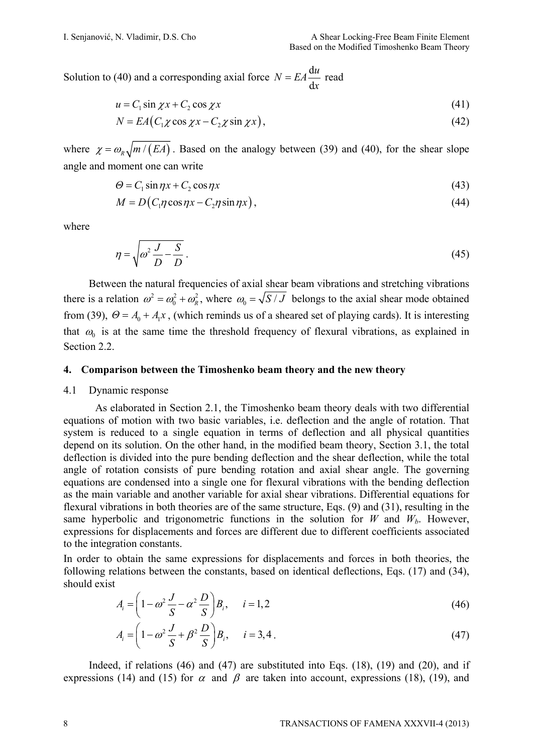Solution to (40) and a corresponding axial force  $N = EA \frac{d}{dx}$ d  $N = EA \frac{du}{dx}$  read

$$
u = C_1 \sin \chi x + C_2 \cos \chi x \tag{41}
$$

$$
N = EA(C_1 \chi \cos \chi x - C_2 \chi \sin \chi x), \qquad (42)
$$

where  $\chi = \omega_R \sqrt{m/(EA)}$ . Based on the analogy between (39) and (40), for the shear slope angle and moment one can write

$$
\Theta = C_1 \sin \eta x + C_2 \cos \eta x \tag{43}
$$

$$
M = D(C_1 \eta \cos \eta x - C_2 \eta \sin \eta x), \qquad (44)
$$

where

$$
\eta = \sqrt{\omega^2 \frac{J}{D} - \frac{S}{D}}.
$$
\n(45)

Between the natural frequencies of axial shear beam vibrations and stretching vibrations there is a relation  $\omega^2 = \omega_0^2 + \omega_0^2$ , where  $\omega_0 = \sqrt{S/J}$  belongs to the axial shear mode obtained from (39),  $\Theta = A_0 + A_1x$ , (which reminds us of a sheared set of playing cards). It is interesting that  $\omega_0$  is at the same time the threshold frequency of flexural vibrations, as explained in Section 2.2.

#### **4. Comparison between the Timoshenko beam theory and the new theory**

#### 4.1 Dynamic response

As elaborated in Section 2.1, the Timoshenko beam theory deals with two differential equations of motion with two basic variables, i.e. deflection and the angle of rotation. That system is reduced to a single equation in terms of deflection and all physical quantities depend on its solution. On the other hand, in the modified beam theory, Section 3.1, the total deflection is divided into the pure bending deflection and the shear deflection, while the total angle of rotation consists of pure bending rotation and axial shear angle. The governing equations are condensed into a single one for flexural vibrations with the bending deflection as the main variable and another variable for axial shear vibrations. Differential equations for flexural vibrations in both theories are of the same structure, Eqs. (9) and (31), resulting in the same hyperbolic and trigonometric functions in the solution for *W* and  $W_b$ . However, expressions for displacements and forces are different due to different coefficients associated to the integration constants.

In order to obtain the same expressions for displacements and forces in both theories, the following relations between the constants, based on identical deflections, Eqs. (17) and (34), should exist

$$
A_i = \left(1 - \omega^2 \frac{J}{S} - \alpha^2 \frac{D}{S}\right) B_i, \quad i = 1, 2
$$
 (46)

$$
A_{i} = \left(1 - \omega^{2} \frac{J}{S} + \beta^{2} \frac{D}{S}\right) B_{i}, \quad i = 3, 4.
$$
 (47)

Indeed, if relations (46) and (47) are substituted into Eqs. (18), (19) and (20), and if expressions (14) and (15) for  $\alpha$  and  $\beta$  are taken into account, expressions (18), (19), and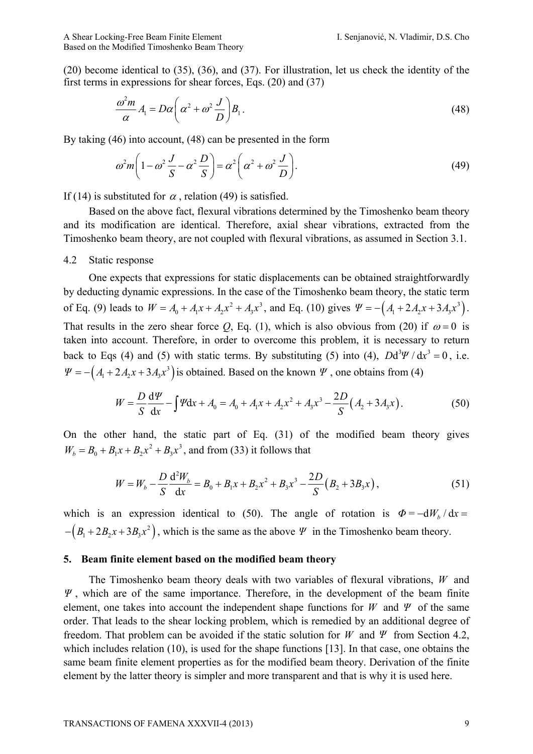(20) become identical to (35), (36), and (37). For illustration, let us check the identity of the first terms in expressions for shear forces, Eqs. (20) and (37)

$$
\frac{\omega^2 m}{\alpha} A_1 = D\alpha \left( \alpha^2 + \omega^2 \frac{J}{D} \right) B_1.
$$
\n(48)

By taking (46) into account, (48) can be presented in the form

$$
\omega^2 m \left( 1 - \omega^2 \frac{J}{S} - \alpha^2 \frac{D}{S} \right) = \alpha^2 \left( \alpha^2 + \omega^2 \frac{J}{D} \right). \tag{49}
$$

If (14) is substituted for  $\alpha$ , relation (49) is satisfied.

Based on the above fact, flexural vibrations determined by the Timoshenko beam theory and its modification are identical. Therefore, axial shear vibrations, extracted from the Timoshenko beam theory, are not coupled with flexural vibrations, as assumed in Section 3.1.

#### 4.2 Static response

One expects that expressions for static displacements can be obtained straightforwardly by deducting dynamic expressions. In the case of the Timoshenko beam theory, the static term of Eq. (9) leads to  $W = A_0 + A_1x + A_2x^2 + A_3x^3$ , and Eq. (10) gives  $\Psi = -(A_1 + 2A_2x + 3A_3x^3)$ . That results in the zero shear force *Q*, Eq. (1), which is also obvious from (20) if  $\omega = 0$  is taken into account. Therefore, in order to overcome this problem, it is necessary to return back to Eqs (4) and (5) with static terms. By substituting (5) into (4),  $Dd^3\Psi/dx^3 = 0$ , i.e.  $\Psi = -\left(A_1 + 2A_2x + 3A_3x^3\right)$  is obtained. Based on the known  $\Psi$ , one obtains from (4)

$$
W = \frac{D}{S} \frac{d\Psi}{dx} - \int \Psi dx + A_0 = A_0 + A_1 x + A_2 x^2 + A_3 x^3 - \frac{2D}{S} (A_2 + 3A_3 x).
$$
 (50)

On the other hand, the static part of Eq. (31) of the modified beam theory gives  $W_b = B_0 + B_1 x + B_2 x^2 + B_3 x^3$ , and from (33) it follows that

$$
W = W_b - \frac{D}{S} \frac{d^2 W_b}{dx} = B_0 + B_1 x + B_2 x^2 + B_3 x^3 - \frac{2D}{S} (B_2 + 3B_3 x),
$$
\n(51)

which is an expression identical to (50). The angle of rotation is  $\Phi = -dW_h / dx =$  $-(B_1 + 2B_2x + 3B_3x^2)$ , which is the same as the above *Ψ* in the Timoshenko beam theory.

### **5. Beam finite element based on the modified beam theory**

The Timoshenko beam theory deals with two variables of flexural vibrations, *W* and *Ψ* , which are of the same importance. Therefore, in the development of the beam finite element, one takes into account the independent shape functions for *W* and *Ψ* of the same order. That leads to the shear locking problem, which is remedied by an additional degree of freedom. That problem can be avoided if the static solution for *W* and *Ψ* from Section 4.2, which includes relation (10), is used for the shape functions [13]. In that case, one obtains the same beam finite element properties as for the modified beam theory. Derivation of the finite element by the latter theory is simpler and more transparent and that is why it is used here.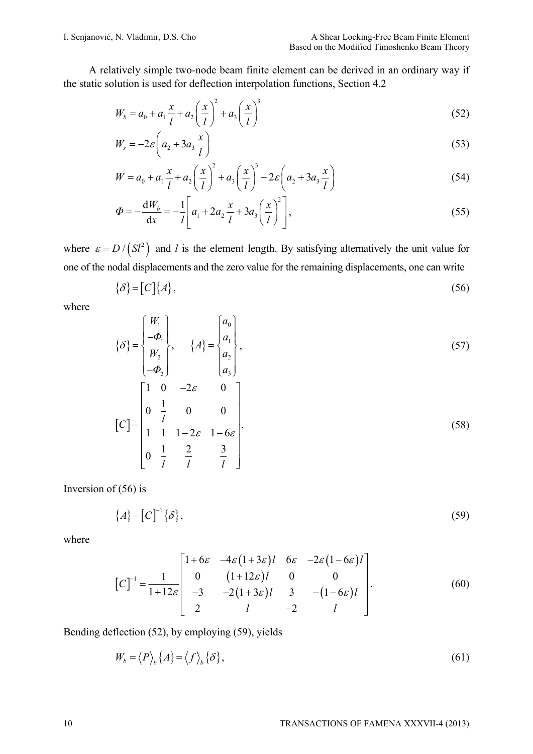A relatively simple two-node beam finite element can be derived in an ordinary way if the static solution is used for deflection interpolation functions, Section 4.2

$$
W_b = a_0 + a_1 \frac{x}{l} + a_2 \left(\frac{x}{l}\right)^2 + a_3 \left(\frac{x}{l}\right)^3 \tag{52}
$$

$$
W_s = -2\varepsilon \left( a_2 + 3a_3 \frac{x}{l} \right) \tag{53}
$$

$$
W = a_0 + a_1 \frac{x}{l} + a_2 \left(\frac{x}{l}\right)^2 + a_3 \left(\frac{x}{l}\right)^3 - 2\varepsilon \left(a_2 + 3a_3 \frac{x}{l}\right)
$$
 (54)

$$
\Phi = -\frac{dW_b}{dx} = -\frac{1}{l} \left[ a_1 + 2a_2 \frac{x}{l} + 3a_3 \left( \frac{x}{l} \right)^2 \right],
$$
\n(55)

where  $\varepsilon = D / (St^2)$  and *l* is the element length. By satisfying alternatively the unit value for one of the nodal displacements and the zero value for the remaining displacements, one can write

$$
\{\delta\} = [C]\{A\},\tag{56}
$$

where

$$
\{\delta\} = \begin{Bmatrix} W_1 \\ -\Phi_1 \\ W_2 \\ -\Phi_2 \end{Bmatrix}, \qquad \{A\} = \begin{Bmatrix} a_0 \\ a_1 \\ a_2 \\ a_3 \end{Bmatrix}, \tag{57}
$$

$$
[C] = \begin{bmatrix} 1 & 0 & 2\varepsilon & 0 \\ 0 & \frac{1}{l} & 0 & 0 \\ 1 & 1 & 1 - 2\varepsilon & 1 - 6\varepsilon \\ 0 & \frac{1}{l} & \frac{2}{l} & \frac{3}{l} \end{bmatrix}.
$$
 (58)

Inversion of  $(56)$  is

$$
\{A\} = \left[C\right]^{-1} \{\delta\},\tag{59}
$$

where

$$
\begin{bmatrix} C \end{bmatrix}^{-1} = \frac{1}{1+12\varepsilon} \begin{bmatrix} 1+6\varepsilon & -4\varepsilon(1+3\varepsilon)l & 6\varepsilon & -2\varepsilon(1-6\varepsilon)l \\ 0 & (1+12\varepsilon)l & 0 & 0 \\ -3 & -2(1+3\varepsilon)l & 3 & -(1-6\varepsilon)l \\ 2 & l & -2 & l \end{bmatrix} . \tag{60}
$$

Bending deflection (52), by employing (59), yields

$$
W_b = \langle P \rangle_b \{A\} = \langle f \rangle_b \{B\},\tag{61}
$$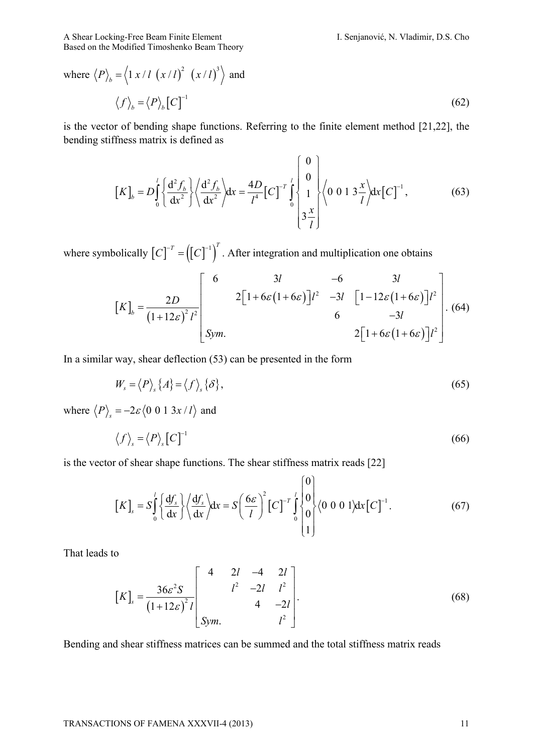A Shear Locking-Free Beam Finite Element I. Senjanović, N. Vladimir, D.S. Cho Based on the Modified Timoshenko Beam Theory

where 
$$
\langle P \rangle_b = \langle 1 x / l (x / l)^2 (x / l)^3 \rangle
$$
 and  
 $\langle f \rangle_b = \langle P \rangle_b [C]^{-1}$  (62)

is the vector of bending shape functions. Referring to the finite element method [21,22], the bending stiffness matrix is defined as

$$
\left[K\right]_{b} = D\int_{0}^{l} \left\{ \frac{d^{2} f_{b}}{dx^{2}} \right\} \left\langle \frac{d^{2} f_{b}}{dx^{2}} \right\rangle dx = \frac{4D}{l^{4}} \left[C\right]^{-r} \int_{0}^{l} \left\{ \begin{array}{l} 0 \\ 0 \\ 1 \\ 3 \frac{x}{l} \end{array} \right\} \left\langle 0 \ 0 \ 1 \ 3 \frac{x}{l} \right\rangle dx \left[C\right]^{-1}, \tag{63}
$$

where symbolically  $[C]^{-T} = ((C)^{-1})^T$ . After integration and multiplication one obtains

$$
\begin{bmatrix} K \end{bmatrix}_b = \frac{2D}{\left(1+12\varepsilon\right)^2 l^2} \begin{bmatrix} 6 & 3l & -6 & 3l \\ 2\left[1+6\varepsilon\left(1+6\varepsilon\right)\right]l^2 & -3l & \left[1-12\varepsilon\left(1+6\varepsilon\right)\right]l^2 \\ 6 & -3l & 2\left[1+6\varepsilon\left(1+6\varepsilon\right)\right]l^2 \end{bmatrix} . \tag{64}
$$

In a similar way, shear deflection (53) can be presented in the form

$$
W_s = \langle P \rangle_s \{A\} = \langle f \rangle_s \{S\},\tag{65}
$$

where  $\langle P \rangle_s = -2\varepsilon \langle 0 \; 0 \; 1 \; 3x / l \rangle$  and

$$
\langle f \rangle_s = \langle P \rangle_s [C]^{-1} \tag{66}
$$

is the vector of shear shape functions. The shear stiffness matrix reads [22]

$$
\left[K\right]_s = S \int_0^l \left\{ \frac{\mathrm{d}f_s}{\mathrm{d}x} \right\} \left\langle \frac{\mathrm{d}f_s}{\mathrm{d}x} \right\rangle \mathrm{d}x = S \left(\frac{6\varepsilon}{l}\right)^2 \left[C\right]^{-r} \int_0^l \begin{cases} 0 \\ 0 \\ 0 \\ 1 \end{cases} \left\langle 0 \ 0 \ 0 \ 1 \right\rangle \mathrm{d}x \left[C\right]^{-1} . \tag{67}
$$

That leads to

$$
[K]_s = \frac{36\varepsilon^2 S}{(1+12\varepsilon)^2 l} \begin{bmatrix} 4 & 2l & -4 & 2l \\ & l^2 & -2l & l^2 \\ & & 4 & -2l \\ \text{Sym.} & & & l^2 \end{bmatrix} . \tag{68}
$$

Bending and shear stiffness matrices can be summed and the total stiffness matrix reads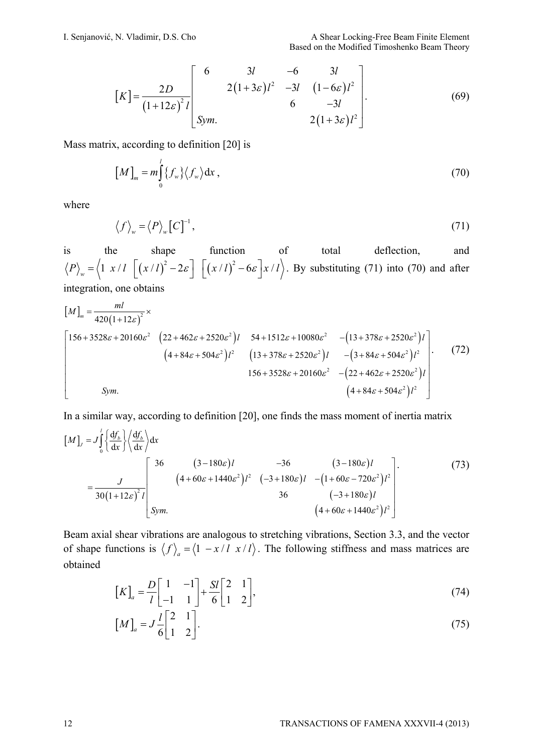$$
[K] = \frac{2D}{(1+12\varepsilon)^2 l} \begin{bmatrix} 6 & 3l & -6 & 3l \\ 2(1+3\varepsilon)l^2 & -3l & (1-6\varepsilon)l^2 \\ 6 & -3l & 2(1+3\varepsilon)l^2 \end{bmatrix} .
$$
 (69)

Mass matrix, according to definition [20] is

$$
\left[M\right]_m = m \int_0^l \{f_w\} \langle f_w \rangle \mathrm{d}x \,,\tag{70}
$$

where

$$
\langle f \rangle_{w} = \langle P \rangle_{w} [C]^{-1}, \tag{71}
$$

is the shape function of total deflection, and  $\langle P \rangle_w = \langle 1 \ x / l \ \left[ \left( \frac{x}{l} \right)^2 - 2\varepsilon \right] \ \left[ \left( \frac{x}{l} \right)^2 - 6\varepsilon \right] \left[ \frac{x}{l} \right]$ . By substituting (71) into (70) and after integration, one obtains

$$
[M]_{m} = \frac{ml}{420(1+12\varepsilon)^{2}} \times
$$
\n
$$
\begin{bmatrix}\n156+3528\varepsilon + 20160\varepsilon^{2} & (22+462\varepsilon + 2520\varepsilon^{2})l & 54+1512\varepsilon + 10080\varepsilon^{2} & -(13+378\varepsilon + 2520\varepsilon^{2})l \\
(4+84\varepsilon + 504\varepsilon^{2})l^{2} & (13+378\varepsilon + 2520\varepsilon^{2})l & -(3+84\varepsilon + 504\varepsilon^{2})l^{2} \\
156+3528\varepsilon + 20160\varepsilon^{2} & -(22+462\varepsilon + 2520\varepsilon^{2})l \\
8ym. & (4+84\varepsilon + 504\varepsilon^{2})l^{2}\n\end{bmatrix}.
$$
\n(72)

In a similar way, according to definition [20], one finds the mass moment of inertia matrix

$$
\begin{bmatrix} M \end{bmatrix}_{J} = J \int_{0}^{l} \left\{ \frac{df_{b}}{dx} \right\} \left\langle \frac{df_{b}}{dx} \right\rangle dx
$$
  
\n
$$
= \frac{J}{30(1+12\varepsilon)^{2} l} \begin{bmatrix} 36 & (3-180\varepsilon)l & -36 & (3-180\varepsilon)l \\ (4+60\varepsilon+1440\varepsilon^{2})l^{2} & (-3+180\varepsilon)l & -(1+60\varepsilon-720\varepsilon^{2})l^{2} \\ 36 & (-3+180\varepsilon)l & (4+60\varepsilon+1440\varepsilon^{2})l^{2} \end{bmatrix} .
$$
\n(73)

Beam axial shear vibrations are analogous to stretching vibrations, Section 3.3, and the vector of shape functions is  $\langle f \rangle_a = \langle 1 - x/l \cdot x/l \rangle$ . The following stiffness and mass matrices are obtained

$$
\begin{bmatrix} K \end{bmatrix}_a = \frac{D}{l} \begin{bmatrix} 1 & -1 \\ -1 & 1 \end{bmatrix} + \frac{SI}{6} \begin{bmatrix} 2 & 1 \\ 1 & 2 \end{bmatrix},\tag{74}
$$

$$
\left[M\right]_a = J\frac{l}{6}\begin{bmatrix} 2 & 1\\ 1 & 2 \end{bmatrix}.
$$
\n(75)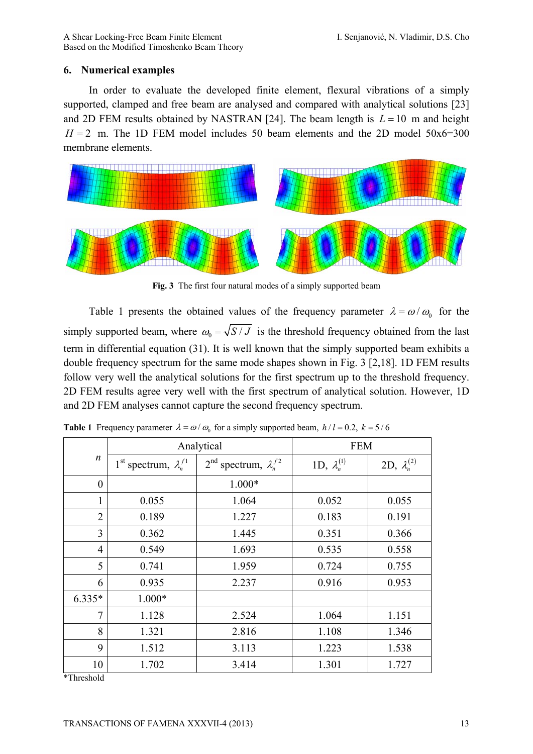# **6. Numerical examples**

In order to evaluate the developed finite element, flexural vibrations of a simply supported, clamped and free beam are analysed and compared with analytical solutions [23] and 2D FEM results obtained by NASTRAN [24]. The beam length is  $L = 10$  m and height  $H = 2$  m. The 1D FEM model includes 50 beam elements and the 2D model 50x6=300 membrane elements.



**Fig. 3** The first four natural modes of a simply supported beam

Table 1 presents the obtained values of the frequency parameter  $\lambda = \omega/\omega_0$  for the simply supported beam, where  $\omega_0 = \sqrt{S/J}$  is the threshold frequency obtained from the last term in differential equation (31). It is well known that the simply supported beam exhibits a double frequency spectrum for the same mode shapes shown in Fig. 3 [2,18]. 1D FEM results follow very well the analytical solutions for the first spectrum up to the threshold frequency. 2D FEM results agree very well with the first spectrum of analytical solution. However, 1D and 2D FEM analyses cannot capture the second frequency spectrum.

|                  | Analytical                                  |                                     | <b>FEM</b>            |                       |
|------------------|---------------------------------------------|-------------------------------------|-----------------------|-----------------------|
| $\boldsymbol{n}$ | 1 <sup>st</sup> spectrum, $\lambda_n^{f_1}$ | $2^{nd}$ spectrum, $\lambda_n^{f2}$ | 1D, $\lambda_n^{(1)}$ | 2D, $\lambda_n^{(2)}$ |
| $\overline{0}$   |                                             | $1.000*$                            |                       |                       |
| 1                | 0.055                                       | 1.064                               | 0.052                 | 0.055                 |
| $\overline{2}$   | 0.189                                       | 1.227                               | 0.183                 | 0.191                 |
| 3                | 0.362                                       | 1.445                               | 0.351                 | 0.366                 |
| $\overline{4}$   | 0.549                                       | 1.693                               | 0.535                 | 0.558                 |
| 5                | 0.741                                       | 1.959                               | 0.724                 | 0.755                 |
| 6                | 0.935                                       | 2.237                               | 0.916                 | 0.953                 |
| $6.335*$         | $1.000*$                                    |                                     |                       |                       |
| 7                | 1.128                                       | 2.524                               | 1.064                 | 1.151                 |
| 8                | 1.321                                       | 2.816                               | 1.108                 | 1.346                 |
| 9                | 1.512                                       | 3.113                               | 1.223                 | 1.538                 |
| 10               | 1.702                                       | 3.414                               | 1.301                 | 1.727                 |

**Table 1** Frequency parameter  $\lambda = \omega / \omega_0$  for a simply supported beam,  $h/l = 0.2$ ,  $k = 5/6$ 

\*Threshold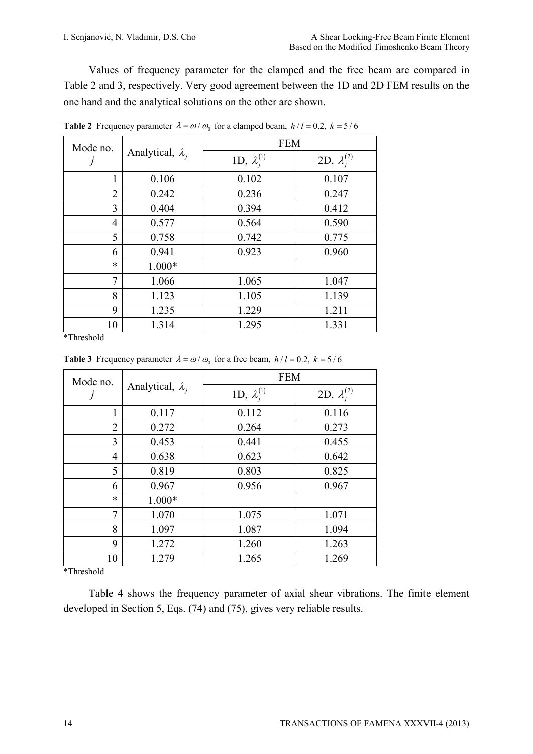Values of frequency parameter for the clamped and the free beam are compared in Table 2 and 3, respectively. Very good agreement between the 1D and 2D FEM results on the one hand and the analytical solutions on the other are shown.

| Mode no.       | Analytical, $\lambda_i$ | <b>FEM</b>            |                       |
|----------------|-------------------------|-----------------------|-----------------------|
|                |                         | 1D, $\lambda_i^{(1)}$ | 2D, $\lambda_i^{(2)}$ |
| 1              | 0.106                   | 0.102                 | 0.107                 |
| 2              | 0.242                   | 0.236                 | 0.247                 |
| 3              | 0.404                   | 0.394                 | 0.412                 |
| $\overline{4}$ | 0.577                   | 0.564                 | 0.590                 |
| 5              | 0.758                   | 0.742                 | 0.775                 |
| 6              | 0.941                   | 0.923                 | 0.960                 |
| $\ast$         | 1.000*                  |                       |                       |
| 7              | 1.066                   | 1.065                 | 1.047                 |
| 8              | 1.123                   | 1.105                 | 1.139                 |
| 9              | 1.235                   | 1.229                 | 1.211                 |
| 10             | 1.314                   | 1.295                 | 1.331                 |

**Table 2** Frequency parameter  $\lambda = \omega / \omega_0$  for a clamped beam,  $h/l = 0.2$ ,  $k = 5/6$ 

\*Threshold

| Mode no.       | Analytical, $\lambda_i$ | <b>FEM</b>            |                       |
|----------------|-------------------------|-----------------------|-----------------------|
|                |                         | 1D, $\lambda_i^{(1)}$ | 2D, $\lambda_i^{(2)}$ |
| 1              | 0.117                   | 0.112                 | 0.116                 |
| $\overline{2}$ | 0.272                   | 0.264                 | 0.273                 |
| 3              | 0.453                   | 0.441                 | 0.455                 |
| 4              | 0.638                   | 0.623                 | 0.642                 |
| 5              | 0.819                   | 0.803                 | 0.825                 |
| 6              | 0.967                   | 0.956                 | 0.967                 |
| $\ast$         | $1.000*$                |                       |                       |
| 7              | 1.070                   | 1.075                 | 1.071                 |
| 8              | 1.097                   | 1.087                 | 1.094                 |
| 9              | 1.272                   | 1.260                 | 1.263                 |
| 10             | 1.279                   | 1.265                 | 1.269                 |

**Table 3** Frequency parameter  $\lambda = \omega / \omega_0$  for a free beam,  $h/l = 0.2$ ,  $k = 5/6$ 

\*Threshold

Table 4 shows the frequency parameter of axial shear vibrations. The finite element developed in Section 5, Eqs. (74) and (75), gives very reliable results.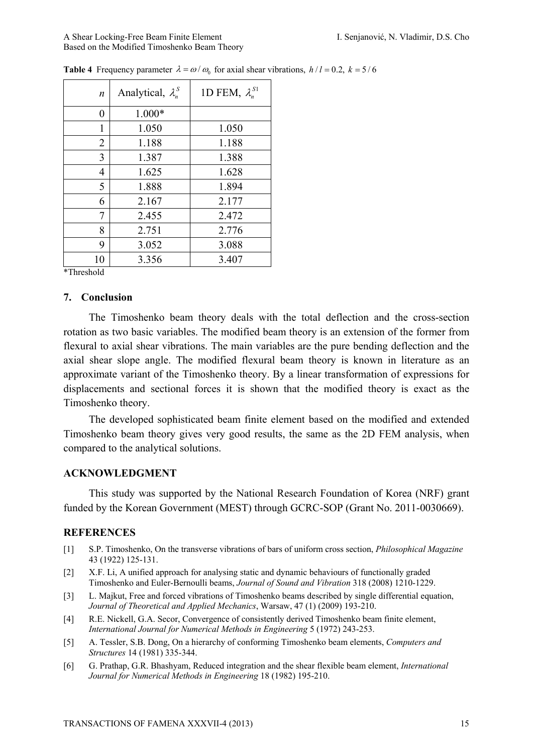#### A Shear Locking-Free Beam Finite Element I. Senjanović, N. Vladimir, D.S. Cho Based on the Modified Timoshenko Beam Theory

| n              | Analytical, $\lambda_n^S$ | 1D FEM, $\lambda_n^{S1}$ |
|----------------|---------------------------|--------------------------|
| 0              | $1.000*$                  |                          |
| 1              | 1.050                     | 1.050                    |
| $\overline{2}$ | 1.188                     | 1.188                    |
| 3              | 1.387                     | 1.388                    |
| 4              | 1.625                     | 1.628                    |
| 5              | 1.888                     | 1.894                    |
| 6              | 2.167                     | 2.177                    |
| 7              | 2.455                     | 2.472                    |
| 8              | 2.751                     | 2.776                    |
| 9              | 3.052                     | 3.088                    |
| 10             | 3.356                     | 3.407                    |

**Table 4** Frequency parameter  $\lambda = \omega / \omega_0$  for axial shear vibrations,  $h/l = 0.2$ ,  $k = 5/6$ 

\*Threshold

# **7. Conclusion**

The Timoshenko beam theory deals with the total deflection and the cross-section rotation as two basic variables. The modified beam theory is an extension of the former from flexural to axial shear vibrations. The main variables are the pure bending deflection and the axial shear slope angle. The modified flexural beam theory is known in literature as an approximate variant of the Timoshenko theory. By a linear transformation of expressions for displacements and sectional forces it is shown that the modified theory is exact as the Timoshenko theory.

The developed sophisticated beam finite element based on the modified and extended Timoshenko beam theory gives very good results, the same as the 2D FEM analysis, when compared to the analytical solutions.

# **ACKNOWLEDGMENT**

This study was supported by the National Research Foundation of Korea (NRF) grant funded by the Korean Government (MEST) through GCRC-SOP (Grant No. 2011-0030669).

# **REFERENCES**

- [1] S.P. Timoshenko, On the transverse vibrations of bars of uniform cross section, *Philosophical Magazine* 43 (1922) 125-131.
- [2] X.F. Li, A unified approach for analysing static and dynamic behaviours of functionally graded Timoshenko and Euler-Bernoulli beams, *Journal of Sound and Vibration* 318 (2008) 1210-1229.
- [3] L. Majkut, Free and forced vibrations of Timoshenko beams described by single differential equation, *Journal of Theoretical and Applied Mechanics*, Warsaw, 47 (1) (2009) 193-210.
- [4] R.E. Nickell, G.A. Secor, Convergence of consistently derived Timoshenko beam finite element, *International Journal for Numerical Methods in Engineering* 5 (1972) 243-253.
- [5] A. Tessler, S.B. Dong, On a hierarchy of conforming Timoshenko beam elements, *Computers and Structures* 14 (1981) 335-344.
- [6] G. Prathap, G.R. Bhashyam, Reduced integration and the shear flexible beam element, *International Journal for Numerical Methods in Engineering* 18 (1982) 195-210.